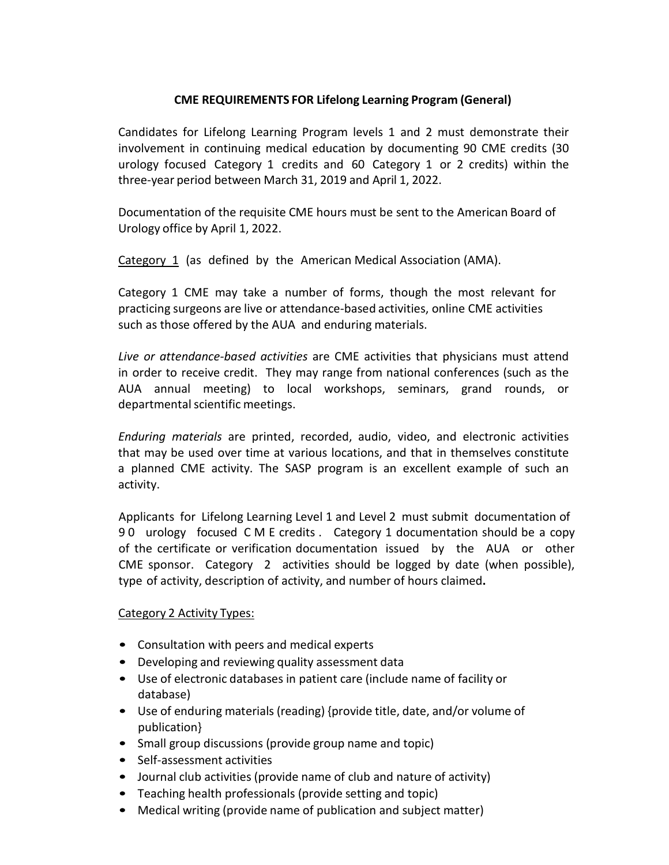## **CME REQUIREMENTS FOR Lifelong Learning Program (General)**

Candidates for Lifelong Learning Program levels 1 and 2 must demonstrate their involvement in continuing medical education by documenting 90 CME credits (30 urology focused Category 1 credits and 60 Category 1 or 2 credits) within the three-year period between March 31, 2019 and April 1, 2022.

Documentation of the requisite CME hours must be sent to the American Board of Urology office by April 1, 2022.

Category 1 (as defined by the American Medical Association (AMA).

Category 1 CME may take a number of forms, though the most relevant for practicing surgeons are live or attendance-based activities, online CME activities such as those offered by the AUA and enduring materials.

*Live or attendance-based activities* are CME activities that physicians must attend in order to receive credit. They may range from national conferences (such as the AUA annual meeting) to local workshops, seminars, grand rounds, or departmental scientific meetings.

*Enduring materials* are printed, recorded, audio, video, and electronic activities that may be used over time at various locations, and that in themselves constitute a planned CME activity. The SASP program is an excellent example of such an activity.

Applicants for Lifelong Learning Level 1 and Level 2 must submit documentation of 9 0 urology focused C M E credits . Category 1 documentation should be a copy of the certificate or verification documentation issued by the AUA or other CME sponsor. Category 2 activities should be logged by date (when possible), type of activity, description of activity, and number of hours claimed**.**

## Category 2 Activity Types:

- Consultation with peers and medical experts
- Developing and reviewing quality assessment data
- Use of electronic databases in patient care (include name of facility or database)
- Use of enduring materials (reading) {provide title, date, and/or volume of publication}
- Small group discussions (provide group name and topic)
- Self-assessment activities
- Journal club activities (provide name of club and nature of activity)
- Teaching health professionals (provide setting and topic)
- Medical writing (provide name of publication and subject matter)